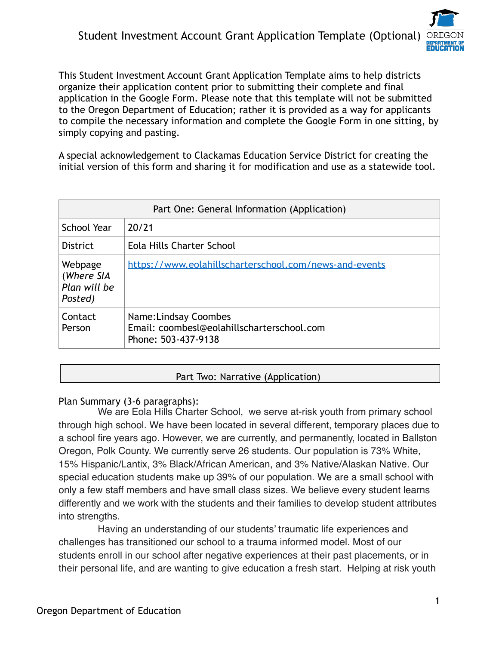

This Student Investment Account Grant Application Template aims to help districts organize their application content prior to submitting their complete and final application in the Google Form. Please note that this template will not be submitted to the Oregon Department of Education; rather it is provided as a way for applicants to compile the necessary information and complete the Google Form in one sitting, by simply copying and pasting.

A special acknowledgement to Clackamas Education Service District for creating the initial version of this form and sharing it for modification and use as a statewide tool.

| Part One: General Information (Application)      |                                                                                            |
|--------------------------------------------------|--------------------------------------------------------------------------------------------|
| <b>School Year</b>                               | 20/21                                                                                      |
| <b>District</b>                                  | Eola Hills Charter School                                                                  |
| Webpage<br>(Where SIA<br>Plan will be<br>Posted) | https://www.eolahillscharterschool.com/news-and-events                                     |
| Contact<br>Person                                | Name: Lindsay Coombes<br>Email: coombesl@eolahillscharterschool.com<br>Phone: 503-437-9138 |

# Part Two: Narrative (Application)

# Plan Summary (3-6 paragraphs):

We are Eola Hills Charter School, we serve at-risk youth from primary school through high school. We have been located in several different, temporary places due to a school fire years ago. However, we are currently, and permanently, located in Ballston Oregon, Polk County. We currently serve 26 students. Our population is 73% White, 15% Hispanic/Lantix, 3% Black/African American, and 3% Native/Alaskan Native. Our special education students make up 39% of our population. We are a small school with only a few staff members and have small class sizes. We believe every student learns differently and we work with the students and their families to develop student attributes into strengths.

Having an understanding of our students' traumatic life experiences and challenges has transitioned our school to a trauma informed model. Most of our students enroll in our school after negative experiences at their past placements, or in their personal life, and are wanting to give education a fresh start. Helping at risk youth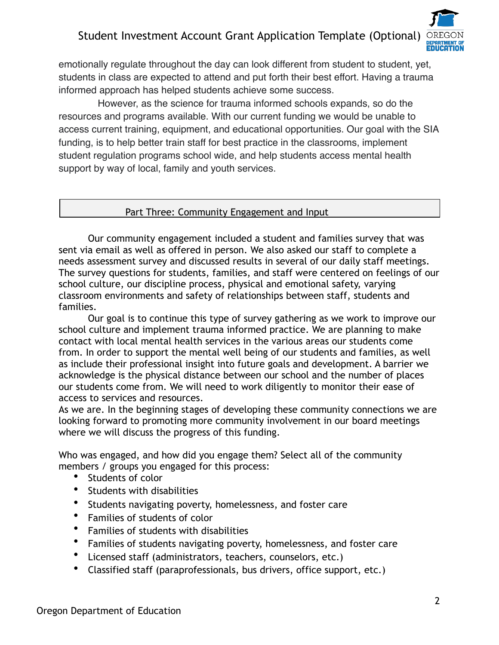

emotionally regulate throughout the day can look different from student to student, yet, students in class are expected to attend and put forth their best effort. Having a trauma informed approach has helped students achieve some success.

However, as the science for trauma informed schools expands, so do the resources and programs available. With our current funding we would be unable to access current training, equipment, and educational opportunities. Our goal with the SIA funding, is to help better train staff for best practice in the classrooms, implement student regulation programs school wide, and help students access mental health support by way of local, family and youth services.

#### Part Three: Community Engagement and Input

 Our community engagement included a student and families survey that was sent via email as well as offered in person. We also asked our staff to complete a needs assessment survey and discussed results in several of our daily staff meetings. The survey questions for students, families, and staff were centered on feelings of our school culture, our discipline process, physical and emotional safety, varying classroom environments and safety of relationships between staff, students and families.

 Our goal is to continue this type of survey gathering as we work to improve our school culture and implement trauma informed practice. We are planning to make contact with local mental health services in the various areas our students come from. In order to support the mental well being of our students and families, as well as include their professional insight into future goals and development. A barrier we acknowledge is the physical distance between our school and the number of places our students come from. We will need to work diligently to monitor their ease of access to services and resources.

As we are. In the beginning stages of developing these community connections we are looking forward to promoting more community involvement in our board meetings where we will discuss the progress of this funding.

Who was engaged, and how did you engage them? Select all of the community members / groups you engaged for this process:

- Students of color
- Students with disabilities
- Students navigating poverty, homelessness, and foster care
- Families of students of color
- Families of students with disabilities
- Families of students navigating poverty, homelessness, and foster care
- Licensed staff (administrators, teachers, counselors, etc.)
- Classified staff (paraprofessionals, bus drivers, office support, etc.)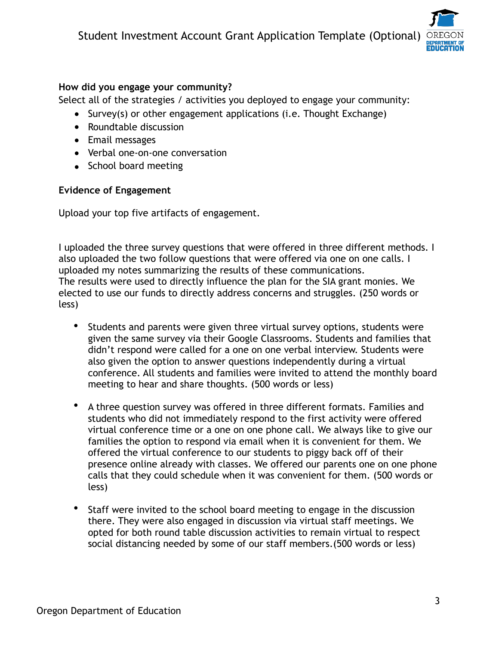

# **How did you engage your community?**

Select all of the strategies / activities you deployed to engage your community:

- Survey(s) or other engagement applications (i.e. Thought Exchange)
- Roundtable discussion
- Email messages
- Verbal one-on-one conversation
- School board meeting

# **Evidence of Engagement**

Upload your top five artifacts of engagement.

I uploaded the three survey questions that were offered in three different methods. I also uploaded the two follow questions that were offered via one on one calls. I uploaded my notes summarizing the results of these communications. The results were used to directly influence the plan for the SIA grant monies. We elected to use our funds to directly address concerns and struggles. (250 words or less)

- Students and parents were given three virtual survey options, students were given the same survey via their Google Classrooms. Students and families that didn't respond were called for a one on one verbal interview. Students were also given the option to answer questions independently during a virtual conference. All students and families were invited to attend the monthly board meeting to hear and share thoughts. (500 words or less)
- A three question survey was offered in three different formats. Families and students who did not immediately respond to the first activity were offered virtual conference time or a one on one phone call. We always like to give our families the option to respond via email when it is convenient for them. We offered the virtual conference to our students to piggy back off of their presence online already with classes. We offered our parents one on one phone calls that they could schedule when it was convenient for them. (500 words or less)
- Staff were invited to the school board meeting to engage in the discussion there. They were also engaged in discussion via virtual staff meetings. We opted for both round table discussion activities to remain virtual to respect social distancing needed by some of our staff members.(500 words or less)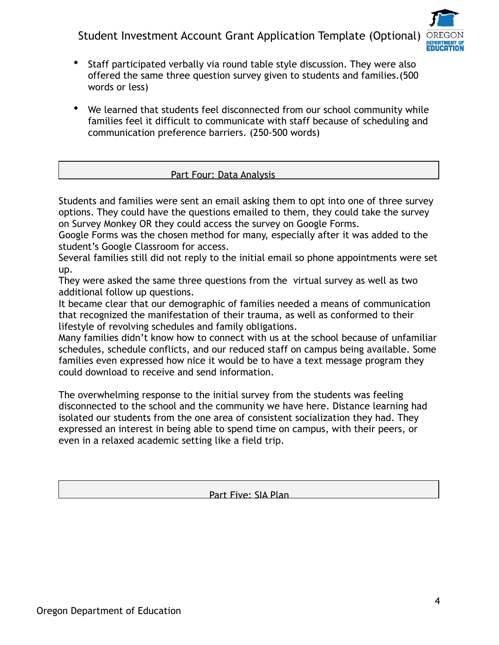

- Staff participated verbally via round table style discussion. They were also offered the same three question survey given to students and families.(500 words or less)
- We learned that students feel disconnected from our school community while families feel it difficult to communicate with staff because of scheduling and communication preference barriers. (250-500 words)

# Part Four: Data Analysis

Students and families were sent an email asking them to opt into one of three survey options. They could have the questions emailed to them, they could take the survey on Survey Monkey OR they could access the survey on Google Forms.

Google Forms was the chosen method for many, especially after it was added to the student's Google Classroom for access.

Several families still did not reply to the initial email so phone appointments were set up.

They were asked the same three questions from the virtual survey as well as two additional follow up questions.

It became clear that our demographic of families needed a means of communication that recognized the manifestation of their trauma, as well as conformed to their lifestyle of revolving schedules and family obligations.

Many families didn't know how to connect with us at the school because of unfamiliar schedules, schedule conflicts, and our reduced staff on campus being available. Some families even expressed how nice it would be to have a text message program they could download to receive and send information.

The overwhelming response to the initial survey from the students was feeling disconnected to the school and the community we have here. Distance learning had isolated our students from the one area of consistent socialization they had. They expressed an interest in being able to spend time on campus, with their peers, or even in a relaxed academic setting like a field trip.

Part Five: SIA Plan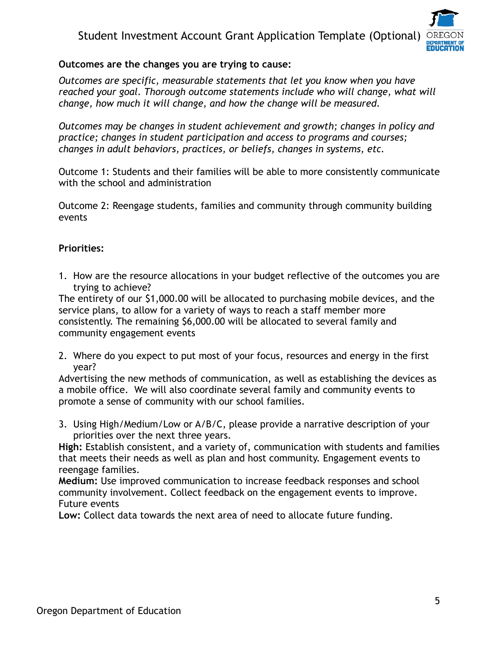

# **Outcomes are the changes you are trying to cause:**

*Outcomes are specific, measurable statements that let you know when you have reached your goal. Thorough outcome statements include who will change, what will change, how much it will change, and how the change will be measured.* 

*Outcomes may be changes in student achievement and growth; changes in policy and practice; changes in student participation and access to programs and courses; changes in adult behaviors, practices, or beliefs, changes in systems, etc.* 

Outcome 1: Students and their families will be able to more consistently communicate with the school and administration

Outcome 2: Reengage students, families and community through community building events

# **Priorities:**

1. How are the resource allocations in your budget reflective of the outcomes you are trying to achieve?

The entirety of our \$1,000.00 will be allocated to purchasing mobile devices, and the service plans, to allow for a variety of ways to reach a staff member more consistently. The remaining \$6,000.00 will be allocated to several family and community engagement events

2. Where do you expect to put most of your focus, resources and energy in the first year?

Advertising the new methods of communication, as well as establishing the devices as a mobile office. We will also coordinate several family and community events to promote a sense of community with our school families.

3. Using High/Medium/Low or A/B/C, please provide a narrative description of your priorities over the next three years.

**High:** Establish consistent, and a variety of, communication with students and families that meets their needs as well as plan and host community. Engagement events to reengage families.

**Medium:** Use improved communication to increase feedback responses and school community involvement. Collect feedback on the engagement events to improve. Future events

**Low:** Collect data towards the next area of need to allocate future funding.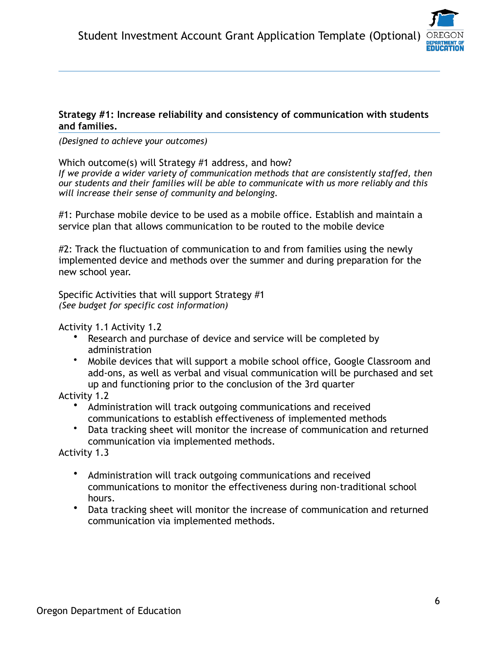#### **Strategy #1: Increase reliability and consistency of communication with students and families.**

#### *(Designed to achieve your outcomes)*

Which outcome(s) will Strategy #1 address, and how?

*If we provide a wider variety of communication methods that are consistently staffed, then our students and their families will be able to communicate with us more reliably and this will increase their sense of community and belonging.* 

#1: Purchase mobile device to be used as a mobile office. Establish and maintain a service plan that allows communication to be routed to the mobile device

#2: Track the fluctuation of communication to and from families using the newly implemented device and methods over the summer and during preparation for the new school year.

Specific Activities that will support Strategy #1 *(See budget for specific cost information)* 

Activity 1.1 Activity 1.2

- Research and purchase of device and service will be completed by administration
- Mobile devices that will support a mobile school office, Google Classroom and add-ons, as well as verbal and visual communication will be purchased and set up and functioning prior to the conclusion of the 3rd quarter

Activity 1.2

- Administration will track outgoing communications and received communications to establish effectiveness of implemented methods
- Data tracking sheet will monitor the increase of communication and returned communication via implemented methods.

Activity 1.3

- Administration will track outgoing communications and received communications to monitor the effectiveness during non-traditional school hours.
- Data tracking sheet will monitor the increase of communication and returned communication via implemented methods.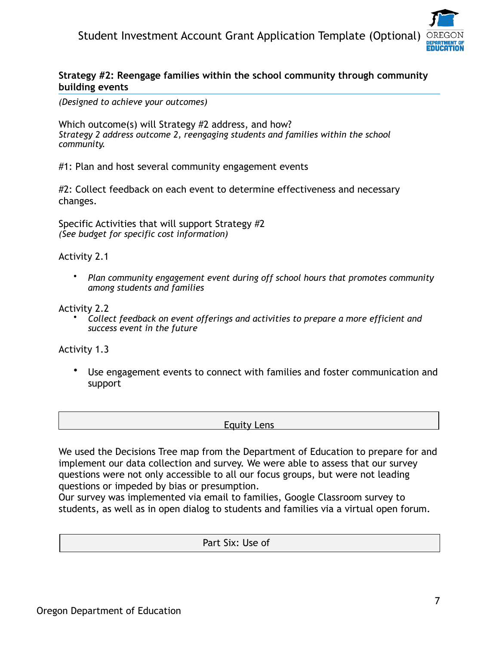#### **Strategy #2: Reengage families within the school community through community building events**

*(Designed to achieve your outcomes)* 

Which outcome(s) will Strategy #2 address, and how? *Strategy 2 address outcome 2, reengaging students and families within the school community.* 

#1: Plan and host several community engagement events

#2: Collect feedback on each event to determine effectiveness and necessary changes.

Specific Activities that will support Strategy #2 *(See budget for specific cost information)* 

Activity 2.1

• *Plan community engagement event during off school hours that promotes community among students and families* 

Activity 2.2

• *Collect feedback on event offerings and activities to prepare a more efficient and success event in the future* 

Activity 1.3

• Use engagement events to connect with families and foster communication and support

Equity Lens

We used the Decisions Tree map from the Department of Education to prepare for and implement our data collection and survey. We were able to assess that our survey questions were not only accessible to all our focus groups, but were not leading questions or impeded by bias or presumption.

Our survey was implemented via email to families, Google Classroom survey to students, as well as in open dialog to students and families via a virtual open forum.

Part Six: Use of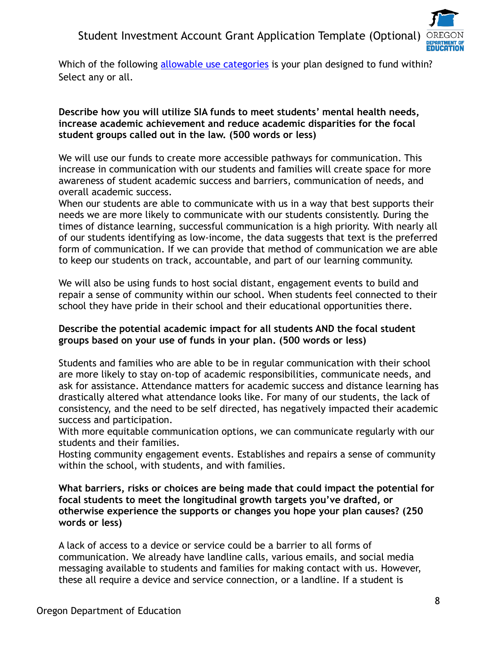

Which of the following [allowable use categories](https://www.oregon.gov/ode/about-us/Documents/HB%25203427%2520Student%2520Investment%2520Account.pdf) is your plan designed to fund within? Select any or all.

#### **Describe how you will utilize SIA funds to meet students' mental health needs, increase academic achievement and reduce academic disparities for the focal student groups called out in the law. (500 words or less)**

We will use our funds to create more accessible pathways for communication. This increase in communication with our students and families will create space for more awareness of student academic success and barriers, communication of needs, and overall academic success.

When our students are able to communicate with us in a way that best supports their needs we are more likely to communicate with our students consistently. During the times of distance learning, successful communication is a high priority. With nearly all of our students identifying as low-income, the data suggests that text is the preferred form of communication. If we can provide that method of communication we are able to keep our students on track, accountable, and part of our learning community.

We will also be using funds to host social distant, engagement events to build and repair a sense of community within our school. When students feel connected to their school they have pride in their school and their educational opportunities there.

# **Describe the potential academic impact for all students AND the focal student groups based on your use of funds in your plan. (500 words or less)**

Students and families who are able to be in regular communication with their school are more likely to stay on-top of academic responsibilities, communicate needs, and ask for assistance. Attendance matters for academic success and distance learning has drastically altered what attendance looks like. For many of our students, the lack of consistency, and the need to be self directed, has negatively impacted their academic success and participation.

With more equitable communication options, we can communicate regularly with our students and their families.

Hosting community engagement events. Establishes and repairs a sense of community within the school, with students, and with families.

**What barriers, risks or choices are being made that could impact the potential for focal students to meet the longitudinal growth targets you've drafted, or otherwise experience the supports or changes you hope your plan causes? (250 words or less)** 

A lack of access to a device or service could be a barrier to all forms of communication. We already have landline calls, various emails, and social media messaging available to students and families for making contact with us. However, these all require a device and service connection, or a landline. If a student is